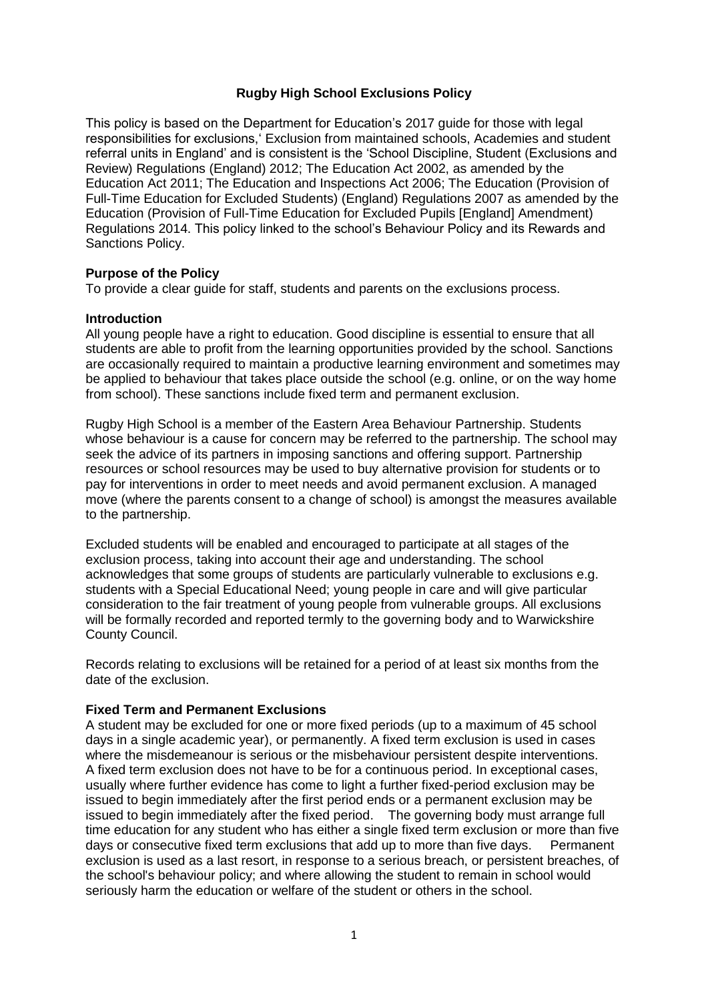# **Rugby High School Exclusions Policy**

This policy is based on the Department for Education's 2017 guide for those with legal responsibilities for exclusions,' Exclusion from maintained schools, Academies and student referral units in England' and is consistent is the 'School Discipline, Student (Exclusions and Review) Regulations (England) 2012; The Education Act 2002, as amended by the Education Act 2011; The Education and Inspections Act 2006; The Education (Provision of Full-Time Education for Excluded Students) (England) Regulations 2007 as amended by the Education (Provision of Full-Time Education for Excluded Pupils [England] Amendment) Regulations 2014. This policy linked to the school's Behaviour Policy and its Rewards and Sanctions Policy.

### **Purpose of the Policy**

To provide a clear guide for staff, students and parents on the exclusions process.

#### **Introduction**

All young people have a right to education. Good discipline is essential to ensure that all students are able to profit from the learning opportunities provided by the school. Sanctions are occasionally required to maintain a productive learning environment and sometimes may be applied to behaviour that takes place outside the school (e.g. online, or on the way home from school). These sanctions include fixed term and permanent exclusion.

Rugby High School is a member of the Eastern Area Behaviour Partnership. Students whose behaviour is a cause for concern may be referred to the partnership. The school may seek the advice of its partners in imposing sanctions and offering support. Partnership resources or school resources may be used to buy alternative provision for students or to pay for interventions in order to meet needs and avoid permanent exclusion. A managed move (where the parents consent to a change of school) is amongst the measures available to the partnership.

Excluded students will be enabled and encouraged to participate at all stages of the exclusion process, taking into account their age and understanding. The school acknowledges that some groups of students are particularly vulnerable to exclusions e.g. students with a Special Educational Need; young people in care and will give particular consideration to the fair treatment of young people from vulnerable groups. All exclusions will be formally recorded and reported termly to the governing body and to Warwickshire County Council.

Records relating to exclusions will be retained for a period of at least six months from the date of the exclusion.

## **Fixed Term and Permanent Exclusions**

A student may be excluded for one or more fixed periods (up to a maximum of 45 school days in a single academic year), or permanently. A fixed term exclusion is used in cases where the misdemeanour is serious or the misbehaviour persistent despite interventions. A fixed term exclusion does not have to be for a continuous period. In exceptional cases, usually where further evidence has come to light a further fixed-period exclusion may be issued to begin immediately after the first period ends or a permanent exclusion may be issued to begin immediately after the fixed period. The governing body must arrange full time education for any student who has either a single fixed term exclusion or more than five days or consecutive fixed term exclusions that add up to more than five days. Permanent exclusion is used as a last resort, in response to a serious breach, or persistent breaches, of the school's behaviour policy; and where allowing the student to remain in school would seriously harm the education or welfare of the student or others in the school.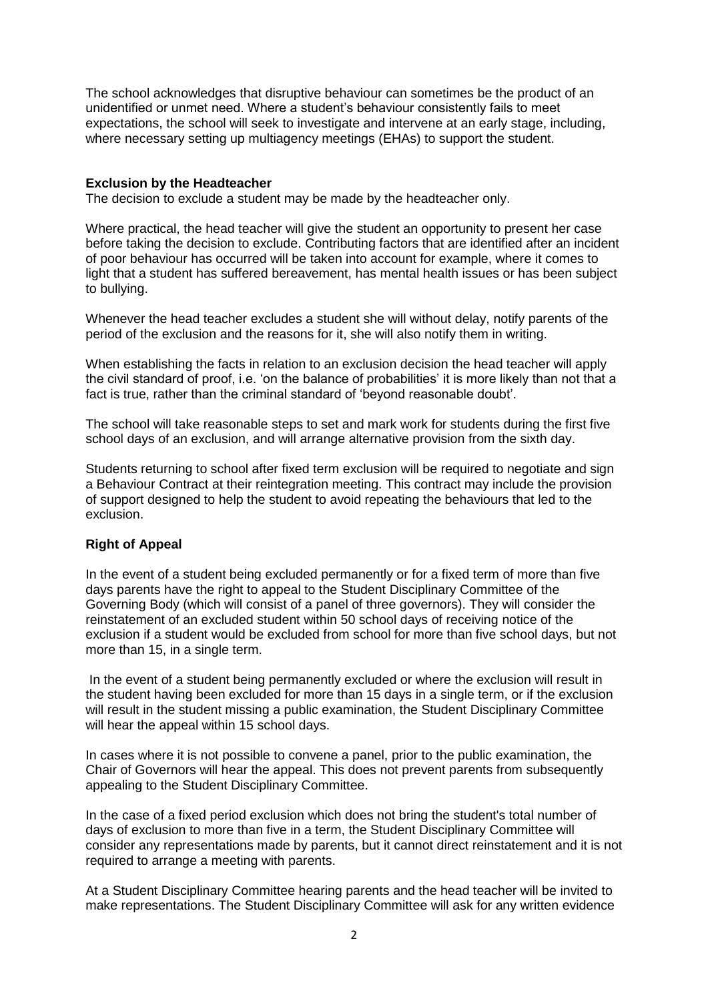The school acknowledges that disruptive behaviour can sometimes be the product of an unidentified or unmet need. Where a student's behaviour consistently fails to meet expectations, the school will seek to investigate and intervene at an early stage, including, where necessary setting up multiagency meetings (EHAs) to support the student.

## **Exclusion by the Headteacher**

The decision to exclude a student may be made by the headteacher only.

Where practical, the head teacher will give the student an opportunity to present her case before taking the decision to exclude. Contributing factors that are identified after an incident of poor behaviour has occurred will be taken into account for example, where it comes to light that a student has suffered bereavement, has mental health issues or has been subject to bullying.

Whenever the head teacher excludes a student she will without delay, notify parents of the period of the exclusion and the reasons for it, she will also notify them in writing.

When establishing the facts in relation to an exclusion decision the head teacher will apply the civil standard of proof, i.e. 'on the balance of probabilities' it is more likely than not that a fact is true, rather than the criminal standard of 'beyond reasonable doubt'.

The school will take reasonable steps to set and mark work for students during the first five school days of an exclusion, and will arrange alternative provision from the sixth day.

Students returning to school after fixed term exclusion will be required to negotiate and sign a Behaviour Contract at their reintegration meeting. This contract may include the provision of support designed to help the student to avoid repeating the behaviours that led to the exclusion.

# **Right of Appeal**

In the event of a student being excluded permanently or for a fixed term of more than five days parents have the right to appeal to the Student Disciplinary Committee of the Governing Body (which will consist of a panel of three governors). They will consider the reinstatement of an excluded student within 50 school days of receiving notice of the exclusion if a student would be excluded from school for more than five school days, but not more than 15, in a single term.

In the event of a student being permanently excluded or where the exclusion will result in the student having been excluded for more than 15 days in a single term, or if the exclusion will result in the student missing a public examination, the Student Disciplinary Committee will hear the appeal within 15 school days.

In cases where it is not possible to convene a panel, prior to the public examination, the Chair of Governors will hear the appeal. This does not prevent parents from subsequently appealing to the Student Disciplinary Committee.

In the case of a fixed period exclusion which does not bring the student's total number of days of exclusion to more than five in a term, the Student Disciplinary Committee will consider any representations made by parents, but it cannot direct reinstatement and it is not required to arrange a meeting with parents.

At a Student Disciplinary Committee hearing parents and the head teacher will be invited to make representations. The Student Disciplinary Committee will ask for any written evidence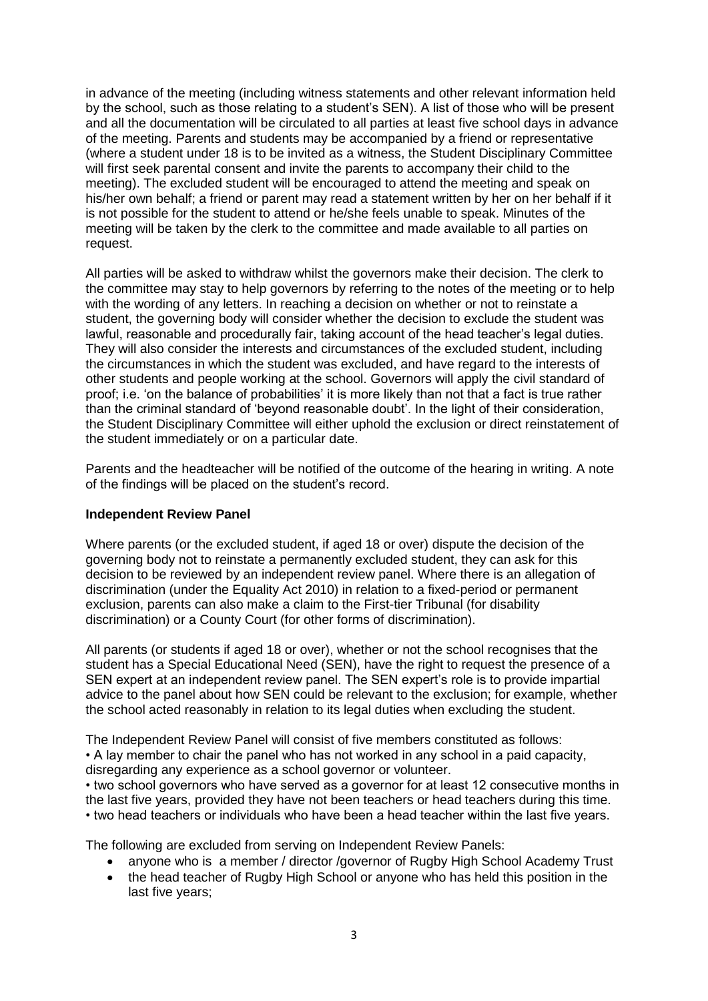in advance of the meeting (including witness statements and other relevant information held by the school, such as those relating to a student's SEN). A list of those who will be present and all the documentation will be circulated to all parties at least five school days in advance of the meeting. Parents and students may be accompanied by a friend or representative (where a student under 18 is to be invited as a witness, the Student Disciplinary Committee will first seek parental consent and invite the parents to accompany their child to the meeting). The excluded student will be encouraged to attend the meeting and speak on his/her own behalf; a friend or parent may read a statement written by her on her behalf if it is not possible for the student to attend or he/she feels unable to speak. Minutes of the meeting will be taken by the clerk to the committee and made available to all parties on request.

All parties will be asked to withdraw whilst the governors make their decision. The clerk to the committee may stay to help governors by referring to the notes of the meeting or to help with the wording of any letters. In reaching a decision on whether or not to reinstate a student, the governing body will consider whether the decision to exclude the student was lawful, reasonable and procedurally fair, taking account of the head teacher's legal duties. They will also consider the interests and circumstances of the excluded student, including the circumstances in which the student was excluded, and have regard to the interests of other students and people working at the school. Governors will apply the civil standard of proof; i.e. 'on the balance of probabilities' it is more likely than not that a fact is true rather than the criminal standard of 'beyond reasonable doubt'. In the light of their consideration, the Student Disciplinary Committee will either uphold the exclusion or direct reinstatement of the student immediately or on a particular date.

Parents and the headteacher will be notified of the outcome of the hearing in writing. A note of the findings will be placed on the student's record.

### **Independent Review Panel**

Where parents (or the excluded student, if aged 18 or over) dispute the decision of the governing body not to reinstate a permanently excluded student, they can ask for this decision to be reviewed by an independent review panel. Where there is an allegation of discrimination (under the Equality Act 2010) in relation to a fixed-period or permanent exclusion, parents can also make a claim to the First-tier Tribunal (for disability discrimination) or a County Court (for other forms of discrimination).

All parents (or students if aged 18 or over), whether or not the school recognises that the student has a Special Educational Need (SEN), have the right to request the presence of a SEN expert at an independent review panel. The SEN expert's role is to provide impartial advice to the panel about how SEN could be relevant to the exclusion; for example, whether the school acted reasonably in relation to its legal duties when excluding the student.

The Independent Review Panel will consist of five members constituted as follows: • A lay member to chair the panel who has not worked in any school in a paid capacity, disregarding any experience as a school governor or volunteer.

• two school governors who have served as a governor for at least 12 consecutive months in the last five years, provided they have not been teachers or head teachers during this time. • two head teachers or individuals who have been a head teacher within the last five years.

The following are excluded from serving on Independent Review Panels:

- anyone who is a member / director /governor of Rugby High School Academy Trust
- the head teacher of Rugby High School or anyone who has held this position in the last five years;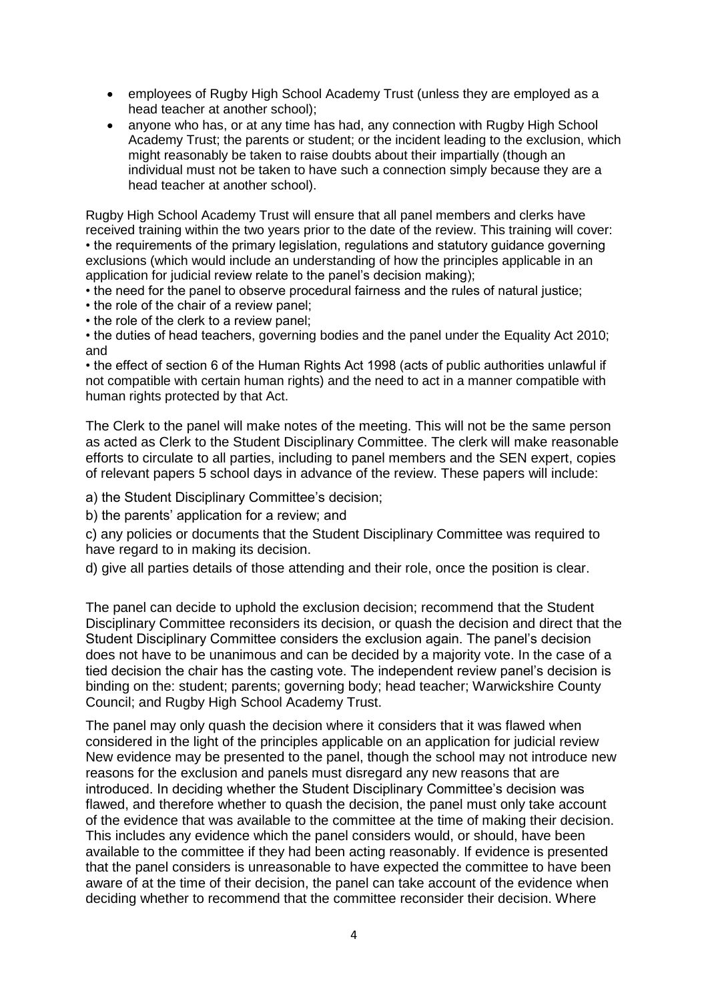- employees of Rugby High School Academy Trust (unless they are employed as a head teacher at another school);
- anyone who has, or at any time has had, any connection with Rugby High School Academy Trust; the parents or student; or the incident leading to the exclusion, which might reasonably be taken to raise doubts about their impartially (though an individual must not be taken to have such a connection simply because they are a head teacher at another school).

Rugby High School Academy Trust will ensure that all panel members and clerks have received training within the two years prior to the date of the review. This training will cover: • the requirements of the primary legislation, regulations and statutory guidance governing exclusions (which would include an understanding of how the principles applicable in an application for judicial review relate to the panel's decision making);

- the need for the panel to observe procedural fairness and the rules of natural justice;
- the role of the chair of a review panel;
- the role of the clerk to a review panel;

• the duties of head teachers, governing bodies and the panel under the Equality Act 2010; and

• the effect of section 6 of the Human Rights Act 1998 (acts of public authorities unlawful if not compatible with certain human rights) and the need to act in a manner compatible with human rights protected by that Act.

The Clerk to the panel will make notes of the meeting. This will not be the same person as acted as Clerk to the Student Disciplinary Committee. The clerk will make reasonable efforts to circulate to all parties, including to panel members and the SEN expert, copies of relevant papers 5 school days in advance of the review. These papers will include:

a) the Student Disciplinary Committee's decision;

b) the parents' application for a review; and

c) any policies or documents that the Student Disciplinary Committee was required to have regard to in making its decision.

d) give all parties details of those attending and their role, once the position is clear.

The panel can decide to uphold the exclusion decision; recommend that the Student Disciplinary Committee reconsiders its decision, or quash the decision and direct that the Student Disciplinary Committee considers the exclusion again. The panel's decision does not have to be unanimous and can be decided by a majority vote. In the case of a tied decision the chair has the casting vote. The independent review panel's decision is binding on the: student; parents; governing body; head teacher; Warwickshire County Council; and Rugby High School Academy Trust.

The panel may only quash the decision where it considers that it was flawed when considered in the light of the principles applicable on an application for judicial review New evidence may be presented to the panel, though the school may not introduce new reasons for the exclusion and panels must disregard any new reasons that are introduced. In deciding whether the Student Disciplinary Committee's decision was flawed, and therefore whether to quash the decision, the panel must only take account of the evidence that was available to the committee at the time of making their decision. This includes any evidence which the panel considers would, or should, have been available to the committee if they had been acting reasonably. If evidence is presented that the panel considers is unreasonable to have expected the committee to have been aware of at the time of their decision, the panel can take account of the evidence when deciding whether to recommend that the committee reconsider their decision. Where